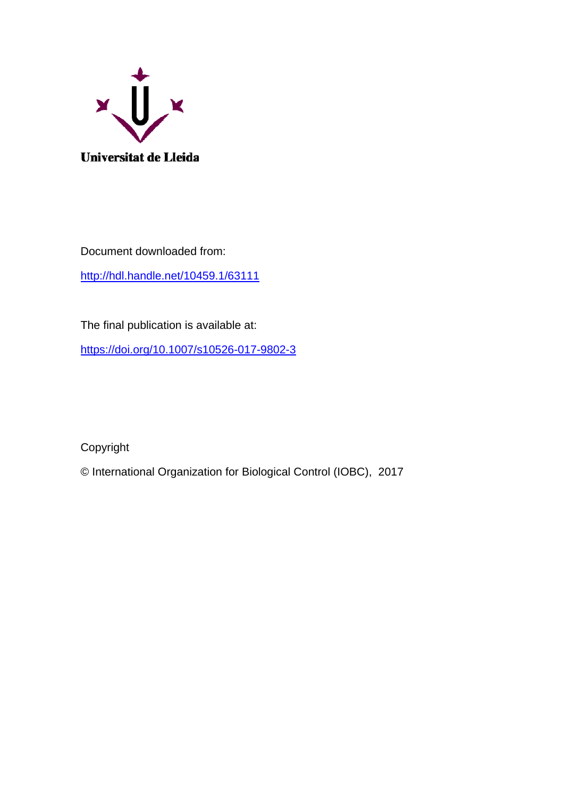

Document downloaded from: <http://hdl.handle.net/10459.1/63111>

The final publication is available at:

<https://doi.org/10.1007/s10526-017-9802-3>

Copyright

© International Organization for Biological Control (IOBC), 2017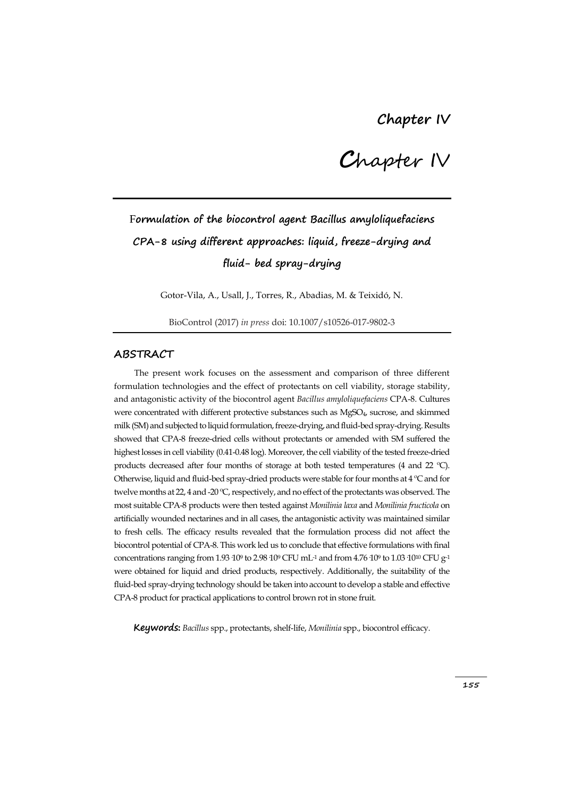**C**hapter IV

# F**ormulation of the biocontrol agent Bacillus amyloliquefaciens CPA-8 using different approaches: liquid, freeze-drying and fluid- bed spray-drying**

Gotor-Vila, A., Usall, J., Torres, R., Abadias, M. & Teixidó, N.

BioControl (2017) *in press* doi: 10.1007/s10526-017-9802-3

### **ABSTRACT**

The present work focuses on the assessment and comparison of three different formulation technologies and the effect of protectants on cell viability, storage stability, and antagonistic activity of the biocontrol agent *Bacillus amyloliquefaciens* CPA-8. Cultures were concentrated with different protective substances such as MgSO4, sucrose, and skimmed milk (SM) and subjected to liquid formulation, freeze-drying, and fluid-bed spray-drying. Results showed that CPA-8 freeze-dried cells without protectants or amended with SM suffered the highest losses in cell viability (0.41-0.48 log). Moreover, the cell viability of the tested freeze-dried products decreased after four months of storage at both tested temperatures (4 and 22 ºC). Otherwise, liquid and fluid-bed spray-dried products were stable for four months at 4 ºC and for twelve months at 22, 4 and -20 ºC, respectively, and no effect of the protectants was observed. The most suitable CPA-8 products were then tested against *Monilinia laxa* and *Monilinia fructicola* on artificially wounded nectarines and in all cases, the antagonistic activity was maintained similar to fresh cells. The efficacy results revealed that the formulation process did not affect the biocontrol potential of CPA-8. This work led us to conclude that effective formulations with final concentrations ranging from 1.93  $10^9$  to 2.98  $10^9$  CFU mL<sup>-1</sup> and from 4.76  $10^9$  to 1.03  $10^{10}$  CFU  $g$ <sup>-1</sup> were obtained for liquid and dried products, respectively. Additionally, the suitability of the fluid-bed spray-drying technology should be taken into account to develop a stable and effective CPA-8 product for practical applications to control brown rot in stone fruit.

**Keywords:** *Bacillus* spp., protectants, shelf-life, *Monilinia* spp., biocontrol efficacy.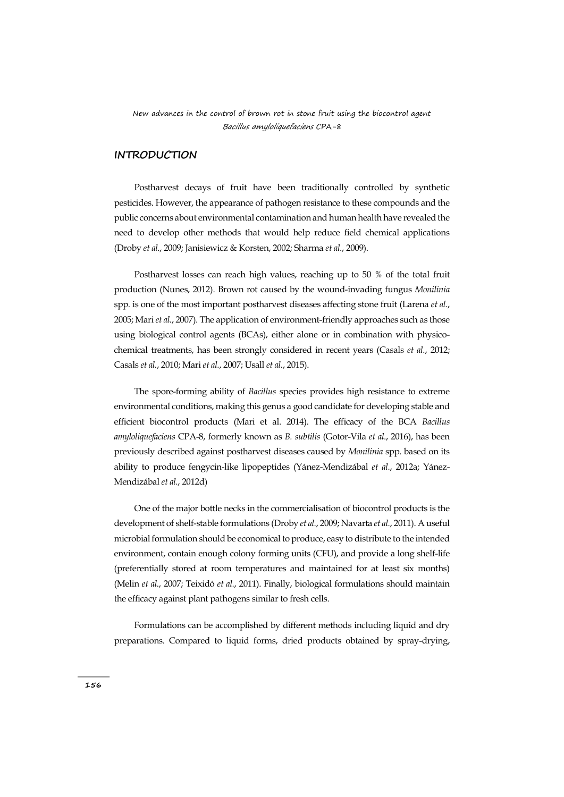### **INTRODUCTION**

Postharvest decays of fruit have been traditionally controlled by synthetic pesticides. However, the appearance of pathogen resistance to these compounds and the public concerns about environmental contamination and human health have revealed the need to develop other methods that would help reduce field chemical applications (Droby *et al.*, 2009; Janisiewicz & Korsten, 2002; Sharma *et al.*, 2009).

Postharvest losses can reach high values, reaching up to 50 % of the total fruit production (Nunes, 2012). Brown rot caused by the wound-invading fungus *Monilinia*  spp. is one of the most important postharvest diseases affecting stone fruit (Larena *et al.*, 2005; Mari*et al.*, 2007). The application of environment-friendly approaches such as those using biological control agents (BCAs), either alone or in combination with physicochemical treatments, has been strongly considered in recent years (Casals *et al.*, 2012; Casals *et al.*, 2010; Mari *et al.*, 2007; Usall *et al.*, 2015).

The spore-forming ability of *Bacillus* species provides high resistance to extreme environmental conditions, making this genus a good candidate for developing stable and efficient biocontrol products (Mari et al. 2014). The efficacy of the BCA *Bacillus amyloliquefaciens* CPA-8, formerly known as *B. subtilis* (Gotor-Vila *et al.*, 2016), has been previously described against postharvest diseases caused by *Monilinia* spp. based on its ability to produce fengycin-like lipopeptides (Yánez-Mendizábal *et al.*, 2012a; Yánez-Mendizábal *et al.*, 2012d)

One of the major bottle necks in the commercialisation of biocontrol products is the development of shelf-stable formulations (Droby *et al.*, 2009; Navarta *et al.*, 2011). A useful microbial formulation should be economical to produce, easy to distribute to the intended environment, contain enough colony forming units (CFU), and provide a long shelf-life (preferentially stored at room temperatures and maintained for at least six months) (Melin *et al.*, 2007; Teixidó *et al.*, 2011). Finally, biological formulations should maintain the efficacy against plant pathogens similar to fresh cells.

Formulations can be accomplished by different methods including liquid and dry preparations. Compared to liquid forms, dried products obtained by spray-drying,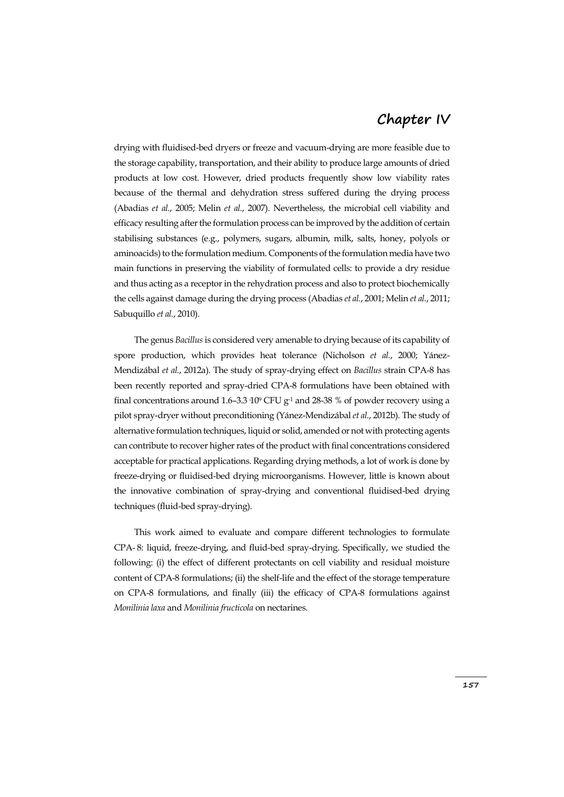drying with fluidised-bed dryers or freeze and vacuum-drying are more feasible due to the storage capability, transportation, and their ability to produce large amounts of dried products at low cost. However, dried products frequently show low viability rates because of the thermal and dehydration stress suffered during the drying process (Abadias *et al.*, 2005; Melin *et al.*, 2007). Nevertheless, the microbial cell viability and efficacy resulting after the formulation process can be improved by the addition of certain stabilising substances (e.g., polymers, sugars, albumin, milk, salts, honey, polyols or aminoacids) to the formulation medium. Components of the formulation media have two main functions in preserving the viability of formulated cells: to provide a dry residue and thus acting as a receptor in the rehydration process and also to protect biochemically the cells against damage during the drying process (Abadias *et al.*, 2001; Melin *et al.*, 2011; Sabuquillo *et al.*, 2010).

The genus *Bacillus* is considered very amenable to drying because of its capability of spore production, which provides heat tolerance (Nicholson *et al.*, 2000; Yánez-Mendizábal *et al.*, 2012a). The study of spray-drying effect on *Bacillus* strain CPA-8 has been recently reported and spray-dried CPA-8 formulations have been obtained with final concentrations around 1.6–3.3  $10^9$  CFU g<sup>-1</sup> and 28-38 % of powder recovery using a pilot spray-dryer without preconditioning (Yánez-Mendizábal*et al.*, 2012b). The study of alternative formulation techniques, liquid or solid, amended or not with protecting agents can contribute to recover higher rates of the product with final concentrations considered acceptable for practical applications. Regarding drying methods, a lot of work is done by freeze-drying or fluidised-bed drying microorganisms. However, little is known about the innovative combination of spray-drying and conventional fluidised-bed drying techniques (fluid-bed spray-drying).

This work aimed to evaluate and compare different technologies to formulate CPA- 8: liquid, freeze-drying, and fluid-bed spray-drying. Specifically, we studied the following: (i) the effect of different protectants on cell viability and residual moisture content of CPA-8 formulations; (ii) the shelf-life and the effect of the storage temperature on CPA-8 formulations, and finally (iii) the efficacy of CPA-8 formulations against *Monilinia laxa* and *Monilinia fructicola* on nectarines.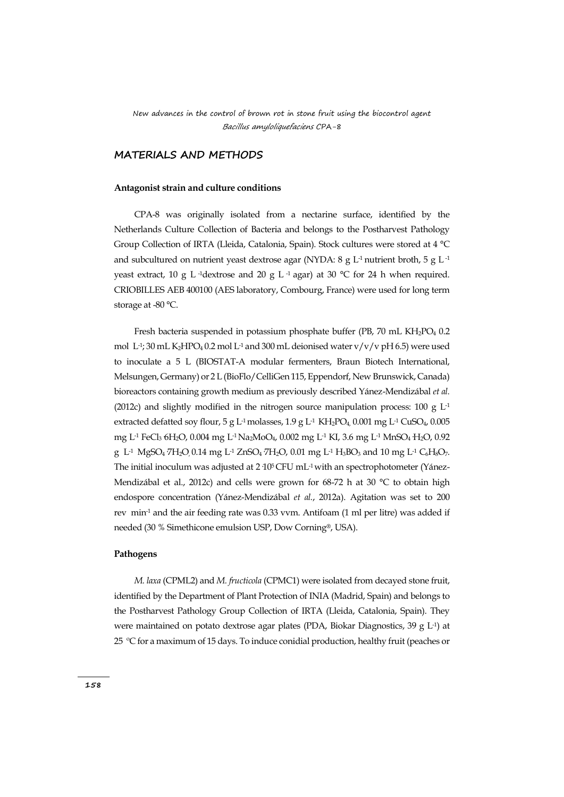## **MATERIALS AND METHODS**

#### **Antagonist strain and culture conditions**

CPA-8 was originally isolated from a nectarine surface, identified by the Netherlands Culture Collection of Bacteria and belongs to the Postharvest Pathology Group Collection of IRTA (Lleida, Catalonia, Spain). Stock cultures were stored at 4 °C and subcultured on nutrient yeast dextrose agar (NYDA:  $8 \text{ g L}$ <sup>1</sup> nutrient broth,  $5 \text{ g L}$ <sup>1</sup> yeast extract, 10 g L<sup>-1</sup>dextrose and 20 g L<sup>-1</sup> agar) at 30 °C for 24 h when required. CRIOBILLES AEB 400100 (AES laboratory, Combourg, France) were used for long term storage at -80 °C.

Fresh bacteria suspended in potassium phosphate buffer (PB, 70 mL KH<sub>2</sub>PO<sub>4</sub> 0.2) mol  $\rm L$ <sup>1</sup>; 30 mL K<sub>2</sub>HPO<sub>4</sub> 0.2 mol  $\rm L$ <sup>1</sup> and 300 mL deionised water v/v/v pH 6.5) were used to inoculate a 5 L (BIOSTAT-A modular fermenters, Braun Biotech International, Melsungen, Germany) or 2 L (BioFlo/CelliGen 115, Eppendorf, New Brunswick, Canada) bioreactors containing growth medium as previously described Yánez-Mendizábal *et al.* (2012c) and slightly modified in the nitrogen source manipulation process: 100 g  $L<sup>1</sup>$ extracted defatted soy flour, 5 g L<sup>-1</sup> molasses, 1.9 g L<sup>-1</sup> KH<sub>2</sub>PO<sub>4</sub>, 0.001 mg L<sup>-1</sup> CuSO<sub>4</sub>, 0.005 mg L-1 FeCl3·6H2O, 0.004 mg L-1 Na2MoO4, 0.002 mg L-1 KI, 3.6 mg L-1 MnSO4·H2O, 0.92 g L<sup>-1</sup> MgSO<sub>4</sub><sup>-7</sup>H<sub>2</sub>O<sub>,</sub> 0.14 mg L<sup>-1</sup> ZnSO<sub>4</sub><sup>-7</sup>H<sub>2</sub>O, 0.01 mg L<sup>-1</sup> H<sub>3</sub>BO<sub>3</sub> and 10 mg L<sup>-1</sup> C<sub>6</sub>H<sub>8</sub>O<sub>7</sub>. The initial inoculum was adjusted at  $2.10^5$  CFU mL<sup>-1</sup> with an spectrophotometer (Yánez-Mendizábal et al., 2012c) and cells were grown for 68-72 h at 30 °C to obtain high endospore concentration (Yánez-Mendizábal *et al.*, 2012a). Agitation was set to 200 rev min-1 and the air feeding rate was 0.33 vvm. Antifoam (1 ml per litre) was added if needed (30 % Simethicone emulsion USP, Dow Corning®, USA).

#### **Pathogens**

*M. laxa* (CPML2) and *M. fructicola* (CPMC1) were isolated from decayed stone fruit, identified by the Department of Plant Protection of INIA (Madrid, Spain) and belongs to the Postharvest Pathology Group Collection of IRTA (Lleida, Catalonia, Spain). They were maintained on potato dextrose agar plates (PDA, Biokar Diagnostics, 39 g  $L$ <sup>1</sup>) at 25 ºC for a maximum of 15 days. To induce conidial production, healthy fruit (peaches or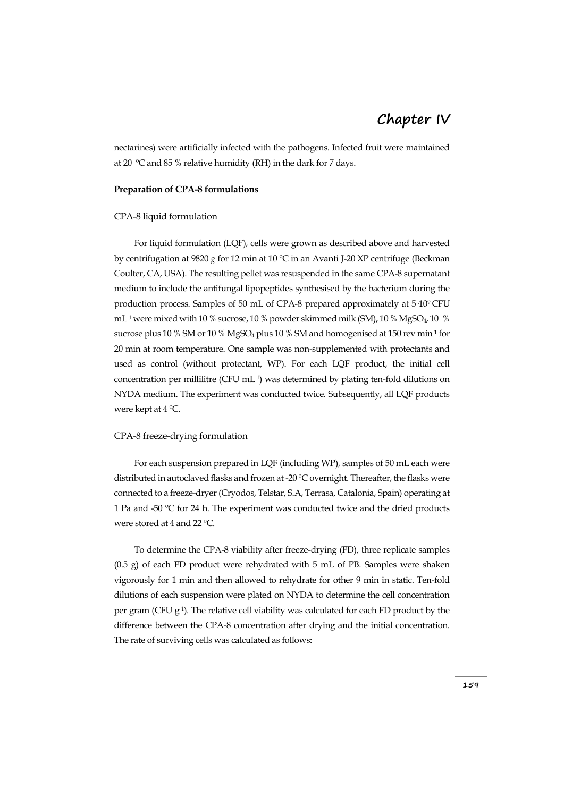nectarines) were artificially infected with the pathogens. Infected fruit were maintained at 20 ºC and 85 % relative humidity (RH) in the dark for 7 days.

#### **Preparation of CPA-8 formulations**

#### CPA-8 liquid formulation

For liquid formulation (LQF), cells were grown as described above and harvested by centrifugation at 9820 *g* for 12 min at 10 ºC in an Avanti J-20 XP centrifuge (Beckman Coulter, CA, USA). The resulting pellet was resuspended in the same CPA-8 supernatant medium to include the antifungal lipopeptides synthesised by the bacterium during the production process. Samples of 50 mL of CPA-8 prepared approximately at 5·109 CFU mL<sup>-1</sup> were mixed with 10 % sucrose, 10 % powder skimmed milk (SM), 10 % MgSO<sub>4</sub>, 10 % sucrose plus 10 % SM or 10 % MgSO $_4$  plus 10 % SM and homogenised at 150 rev min $\cdot^1$  for 20 min at room temperature. One sample was non-supplemented with protectants and used as control (without protectant, WP). For each LQF product, the initial cell concentration per millilitre (CFU mL-1 ) was determined by plating ten-fold dilutions on NYDA medium. The experiment was conducted twice. Subsequently, all LQF products were kept at 4 ºC.

#### CPA-8 freeze-drying formulation

For each suspension prepared in LQF (including WP), samples of 50 mL each were distributed in autoclaved flasks and frozen at -20 ºC overnight. Thereafter, the flasks were connected to a freeze-dryer (Cryodos, Telstar, S.A, Terrasa, Catalonia, Spain) operating at 1 Pa and -50 ºC for 24 h. The experiment was conducted twice and the dried products were stored at 4 and 22 ºC.

To determine the CPA-8 viability after freeze-drying (FD), three replicate samples (0.5 g) of each FD product were rehydrated with 5 mL of PB. Samples were shaken vigorously for 1 min and then allowed to rehydrate for other 9 min in static. Ten-fold dilutions of each suspension were plated on NYDA to determine the cell concentration per gram ( $CFU$   $g<sup>-1</sup>$ ). The relative cell viability was calculated for each FD product by the difference between the CPA-8 concentration after drying and the initial concentration. The rate of surviving cells was calculated as follows: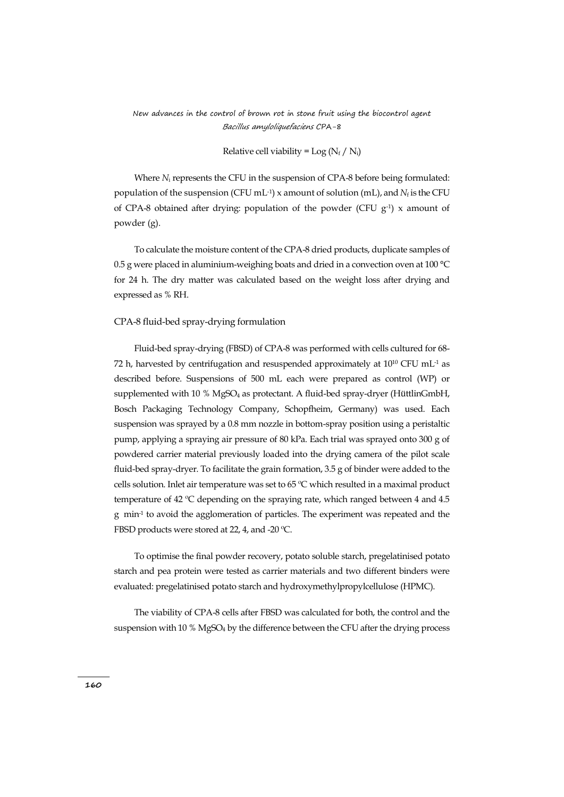#### Relative cell viability =  $Log(N_f / N_i)$

Where *N*<sup>i</sup> represents the CFU in the suspension of CPA-8 before being formulated: population of the suspension (CFU mL<sup>-1</sup>) x amount of solution (mL), and  $N_f$  is the CFU of CPA-8 obtained after drying: population of the powder (CFU  $g^{-1}$ ) x amount of powder (g).

To calculate the moisture content of the CPA-8 dried products, duplicate samples of 0.5 g were placed in aluminium-weighing boats and dried in a convection oven at 100 °C for 24 h. The dry matter was calculated based on the weight loss after drying and expressed as % RH.

#### CPA-8 fluid-bed spray-drying formulation

Fluid-bed spray-drying (FBSD) of CPA-8 was performed with cells cultured for 68- 72 h, harvested by centrifugation and resuspended approximately at  $10^{10}$  CFU mL<sup>-1</sup> as described before. Suspensions of 500 mL each were prepared as control (WP) or supplemented with  $10\%$  MgSO<sub>4</sub> as protectant. A fluid-bed spray-dryer (HüttlinGmbH, Bosch Packaging Technology Company, Schopfheim, Germany) was used. Each suspension was sprayed by a 0.8 mm nozzle in bottom-spray position using a peristaltic pump, applying a spraying air pressure of 80 kPa. Each trial was sprayed onto 300 g of powdered carrier material previously loaded into the drying camera of the pilot scale fluid-bed spray-dryer. To facilitate the grain formation, 3.5 g of binder were added to the cells solution. Inlet air temperature was set to 65 ºC which resulted in a maximal product temperature of 42 ºC depending on the spraying rate, which ranged between 4 and 4.5 g min-1 to avoid the agglomeration of particles. The experiment was repeated and the FBSD products were stored at 22, 4, and -20 ºC.

To optimise the final powder recovery, potato soluble starch, pregelatinised potato starch and pea protein were tested as carrier materials and two different binders were evaluated: pregelatinised potato starch and hydroxymethylpropylcellulose (HPMC).

The viability of CPA-8 cells after FBSD was calculated for both, the control and the suspension with 10 % MgSO<sub>4</sub> by the difference between the CFU after the drying process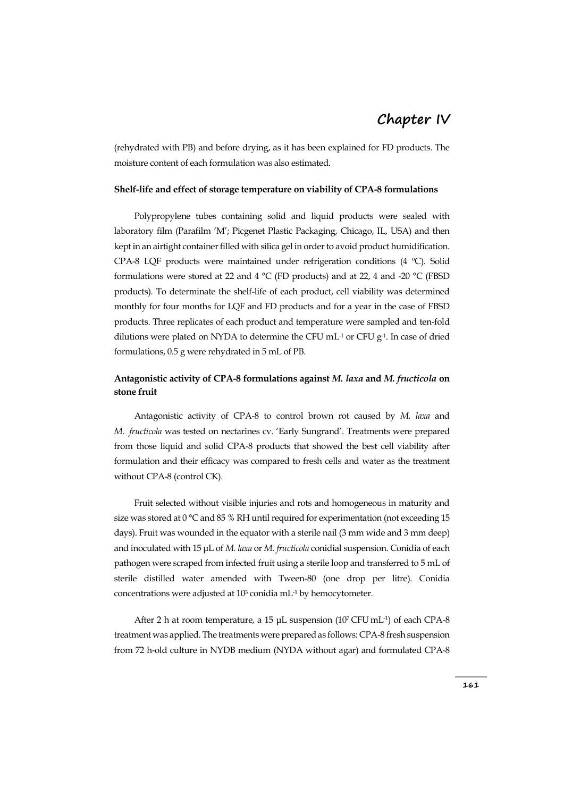(rehydrated with PB) and before drying, as it has been explained for FD products. The moisture content of each formulation was also estimated.

#### **Shelf-life and effect of storage temperature on viability of CPA-8 formulations**

Polypropylene tubes containing solid and liquid products were sealed with laboratory film (Parafilm 'M'; Picgenet Plastic Packaging, Chicago, IL, USA) and then kept in an airtight container filled with silica gel in order to avoid product humidification. CPA-8 LQF products were maintained under refrigeration conditions (4 ºC). Solid formulations were stored at 22 and 4 °C (FD products) and at 22, 4 and -20 °C (FBSD products). To determinate the shelf-life of each product, cell viability was determined monthly for four months for LQF and FD products and for a year in the case of FBSD products. Three replicates of each product and temperature were sampled and ten-fold dilutions were plated on NYDA to determine the CFU  $mL<sup>-1</sup>$  or CFU  $g<sup>-1</sup>$ . In case of dried formulations, 0.5 g were rehydrated in 5 mL of PB.

## **Antagonistic activity of CPA-8 formulations against** *M. laxa* **and** *M. fructicola* **on stone fruit**

Antagonistic activity of CPA-8 to control brown rot caused by *M. laxa* and *M. fructicola* was tested on nectarines cv. 'Early Sungrand'. Treatments were prepared from those liquid and solid CPA-8 products that showed the best cell viability after formulation and their efficacy was compared to fresh cells and water as the treatment without CPA-8 (control CK).

Fruit selected without visible injuries and rots and homogeneous in maturity and size was stored at 0 °C and 85 % RH until required for experimentation (not exceeding 15 days). Fruit was wounded in the equator with a sterile nail (3 mm wide and 3 mm deep) and inoculated with 15 μL of *M. laxa* or *M. fructicola* conidial suspension. Conidia of each pathogen were scraped from infected fruit using a sterile loop and transferred to 5 mL of sterile distilled water amended with Tween-80 (one drop per litre). Conidia concentrations were adjusted at  $10<sup>3</sup>$  conidia mL<sup>-1</sup> by hemocytometer.

After 2 h at room temperature, a 15  $\mu$ L suspension (10<sup>7</sup> CFU mL<sup>-1</sup>) of each CPA-8 treatment was applied. The treatments were prepared as follows: CPA-8 fresh suspension from 72 h-old culture in NYDB medium (NYDA without agar) and formulated CPA-8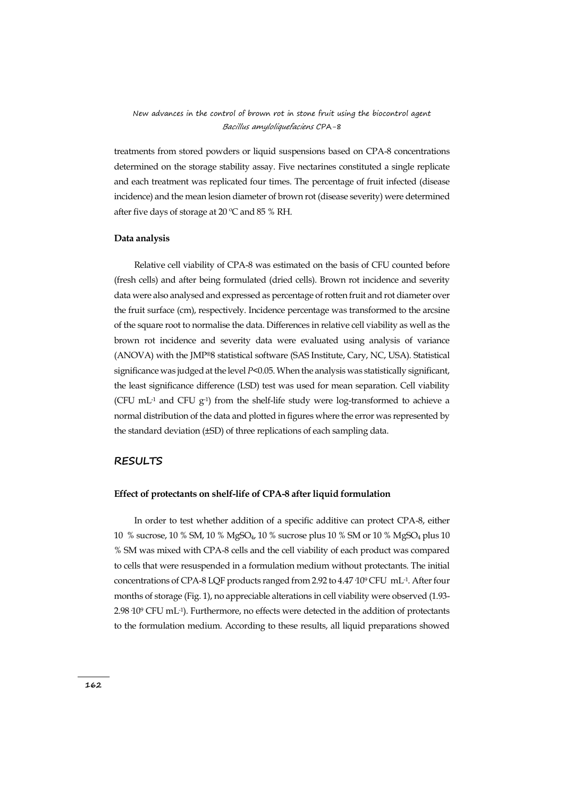treatments from stored powders or liquid suspensions based on CPA-8 concentrations determined on the storage stability assay. Five nectarines constituted a single replicate and each treatment was replicated four times. The percentage of fruit infected (disease incidence) and the mean lesion diameter of brown rot (disease severity) were determined after five days of storage at  $20^{\circ}$ C and 85 % RH.

#### **Data analysis**

Relative cell viability of CPA-8 was estimated on the basis of CFU counted before (fresh cells) and after being formulated (dried cells). Brown rot incidence and severity data were also analysed and expressed as percentage of rotten fruit and rot diameter over the fruit surface (cm), respectively. Incidence percentage was transformed to the arcsine of the square root to normalise the data. Differences in relative cell viability as well as the brown rot incidence and severity data were evaluated using analysis of variance (ANOVA) with the JMP®8 statistical software (SAS Institute, Cary, NC, USA). Statistical significance was judged at the level *P*<0.05. When the analysis was statistically significant, the least significance difference (LSD) test was used for mean separation. Cell viability (CFU mL<sup>-1</sup> and CFU  $g^{-1}$ ) from the shelf-life study were log-transformed to achieve a normal distribution of the data and plotted in figures where the error was represented by the standard deviation (±SD) of three replications of each sampling data.

### **RESULTS**

#### **Effect of protectants on shelf-life of CPA-8 after liquid formulation**

In order to test whether addition of a specific additive can protect CPA-8, either 10 % sucrose, 10 % SM, 10 % MgSO4, 10 % sucrose plus 10 % SM or 10 % MgSO<sup>4</sup> plus 10 % SM was mixed with CPA-8 cells and the cell viability of each product was compared to cells that were resuspended in a formulation medium without protectants. The initial concentrations of CPA-8 LQF products ranged from 2.92 to  $4.47\,10^9\,\mathrm{CFU}\,$  mL<sup>-1</sup>. After four months of storage (Fig. 1), no appreciable alterations in cell viability were observed (1.93- 2.98·10<sup>9</sup> CFU mL-1 ). Furthermore, no effects were detected in the addition of protectants to the formulation medium. According to these results, all liquid preparations showed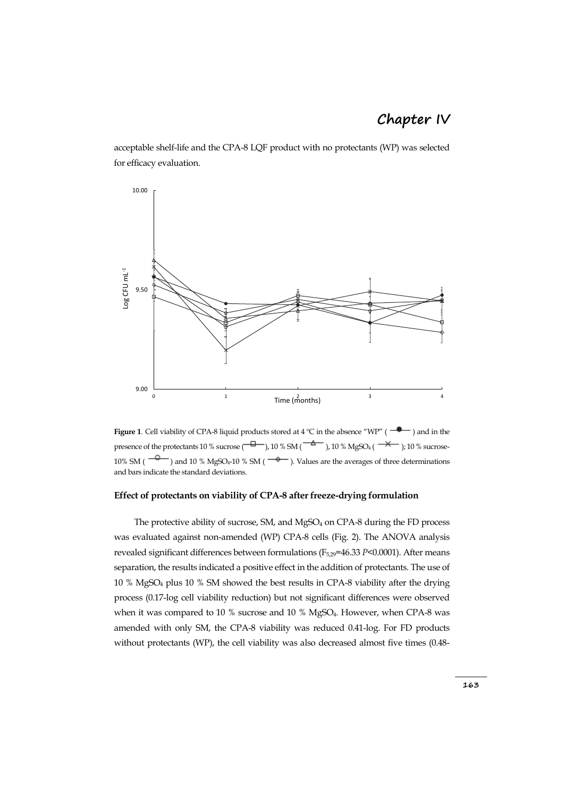acceptable shelf-life and the CPA-8 LQF product with no protectants (WP) was selected for efficacy evaluation.



**Figure 1**. Cell viability of CPA-8 liquid products stored at 4 °C in the absence "WP" ( $\rightarrow$ ) and in the presence of the protectants 10 % sucrose  $\left(\frac{-\Box}{\Box}\right)$ , 10 % SM  $\left(\frac{-\Diamond}{\Box}\right)$ , 10 % MgSO<sub>4</sub> ( $\rightarrow$ ); 10 % sucrose-10% SM ( $\overline{\phantom{a}}$ ) and 10 % MgSO<sub>4</sub>-10 % SM ( $\overline{\phantom{a}}$ ). Values are the averages of three determinations and bars indicate the standard deviations.

#### **Effect of protectants on viability of CPA-8 after freeze-drying formulation**

The protective ability of sucrose, SM, and MgSO<sub>4</sub> on CPA-8 during the FD process was evaluated against non-amended (WP) CPA-8 cells (Fig. 2). The ANOVA analysis revealed significant differences between formulations (F<sub>5,29</sub>=46.33 *P*<0.0001). After means separation, the results indicated a positive effect in the addition of protectants. The use of 10 % MgSO<sup>4</sup> plus 10 % SM showed the best results in CPA-8 viability after the drying process (0.17-log cell viability reduction) but not significant differences were observed when it was compared to 10 % sucrose and 10 % MgSO<sub>4</sub>. However, when CPA-8 was amended with only SM, the CPA-8 viability was reduced 0.41-log. For FD products without protectants (WP), the cell viability was also decreased almost five times (0.48-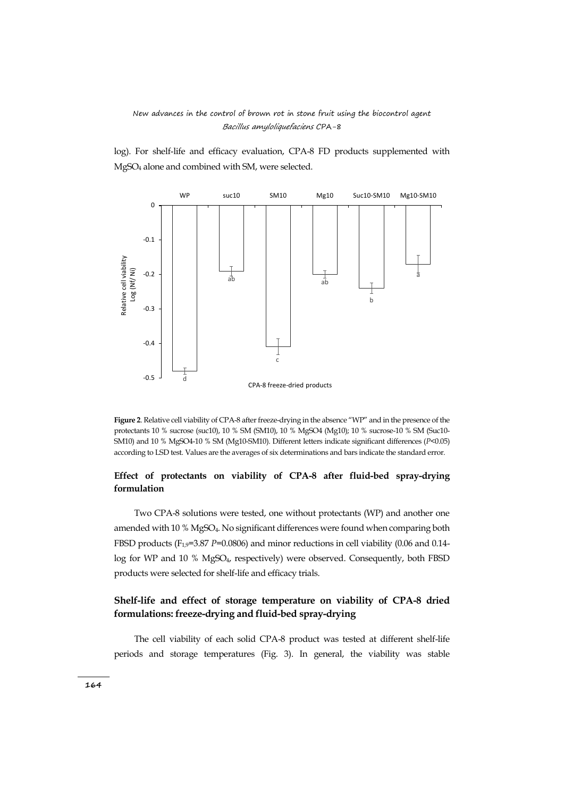log). For shelf-life and efficacy evaluation, CPA-8 FD products supplemented with MgSO<sup>4</sup> alone and combined with SM, were selected.



**Figure 2**. Relative cell viability of CPA-8 after freeze-drying in the absence "WP" and in the presence of the protectants 10 % sucrose (suc10), 10 % SM (SM10), 10 % MgSO4 (Mg10); 10 % sucrose-10 % SM (Suc10- SM10) and 10 % MgSO4-10 % SM (Mg10-SM10). Different letters indicate significant differences (*P*<0.05) according to LSD test. Values are the averages of six determinations and bars indicate the standard error.

## **Effect of protectants on viability of CPA-8 after fluid-bed spray-drying formulation**

Two CPA-8 solutions were tested, one without protectants (WP) and another one amended with 10 % MgSO4. No significant differences were found when comparing both FBSD products (F<sub>1,9</sub>=3.87 *P*=0.0806) and minor reductions in cell viability (0.06 and 0.14log for WP and 10 % MgSO4, respectively) were observed. Consequently, both FBSD products were selected for shelf-life and efficacy trials.

## **Shelf-life and effect of storage temperature on viability of CPA-8 dried formulations: freeze-drying and fluid-bed spray-drying**

The cell viability of each solid CPA-8 product was tested at different shelf-life periods and storage temperatures (Fig. 3). In general, the viability was stable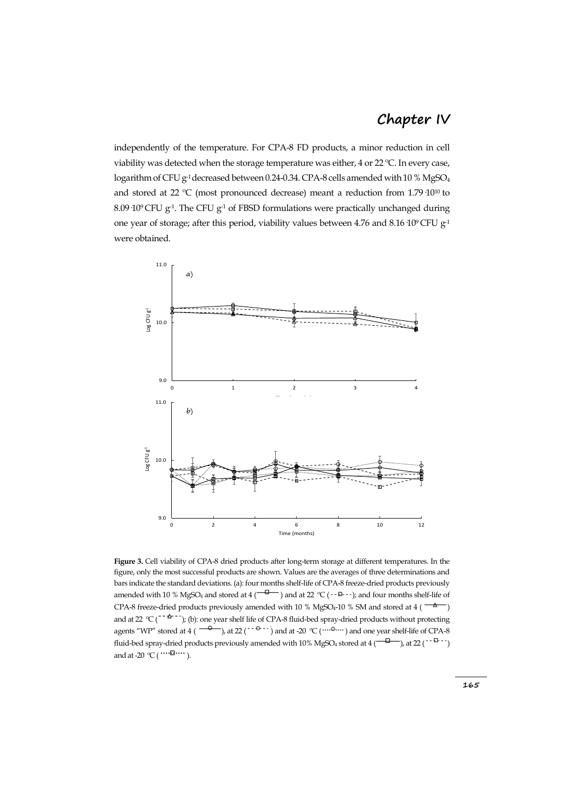independently of the temperature. For CPA-8 FD products, a minor reduction in cell viability was detected when the storage temperature was either, 4 or 22 ºC. In every case, logarithm of CFU  $g<sup>-1</sup>$  decreased between 0.24-0.34. CPA-8 cells amended with 10 % MgSO<sub>4</sub> and stored at 22 ºC (most pronounced decrease) meant a reduction from 1.79·1010 to 8.09 10<sup>9</sup> CFU  $g<sup>-1</sup>$ . The CFU  $g<sup>-1</sup>$  of FBSD formulations were practically unchanged during one year of storage; after this period, viability values between 4.76 and 8.16 10<sup>9</sup> CFU g<sup>-1</sup> were obtained.



**Figure 3.** Cell viability of CPA-8 dried products after long-term storage at different temperatures. In the figure, only the most successful products are shown. Values are the averages of three determinations and bars indicate the standard deviations. (a): four months shelf-life of CPA-8 freeze-dried products previously amended with 10 % MgSO<sub>4</sub> and stored at 4 ( $\frac{1}{\sqrt{2}}$ ) and at 22 °C ( $\cdot$ - $\frac{1}{\sqrt{2}}$ ); and four months shelf-life of CPA-8 freeze-dried products previously amended with 10 % MgSO<sub>4</sub>-10 % SM and stored at 4 ( $\overline{\phantom{a}+}$ ) and at 22  $°C$  ( $c$  - $\triangle$  -  $\cdot$ ); (b): one year shelf life of CPA-8 fluid-bed spray-dried products without protecting agents "WP" stored at 4 ( $\frac{1}{2}$ ), at 22 ( $\frac{1}{2}$  and at -20 °C ( $\cdots$ <sup>0</sup> $\cdots$ ) and one year shelf-life of CPA-8 fluid-bed spray-dried products previously amended with  $10\%$  MgSO<sub>4</sub> stored at 4 ( $\frac{1}{10}$ ), at 22 ( $\frac{1}{10}$ ) and at -20  $^{\circ}$ C ( $^{\cdots \cdots \boxtimes \cdots}$ ).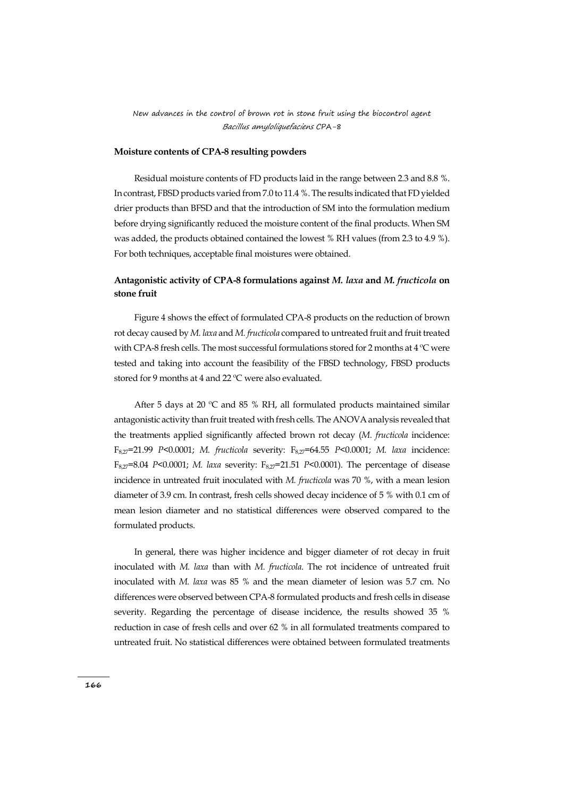#### **Moisture contents of CPA-8 resulting powders**

Residual moisture contents of FD products laid in the range between 2.3 and 8.8 %. In contrast, FBSD products varied from 7.0 to 11.4 %. The results indicated that FD yielded drier products than BFSD and that the introduction of SM into the formulation medium before drying significantly reduced the moisture content of the final products. When SM was added, the products obtained contained the lowest % RH values (from 2.3 to 4.9 %). For both techniques, acceptable final moistures were obtained.

## **Antagonistic activity of CPA-8 formulations against** *M. laxa* **and** *M. fructicola* **on stone fruit**

Figure 4 shows the effect of formulated CPA-8 products on the reduction of brown rot decay caused by *M. laxa* and *M. fructicola* compared to untreated fruit and fruit treated with CPA-8 fresh cells. The most successful formulations stored for 2 months at 4 °C were tested and taking into account the feasibility of the FBSD technology, FBSD products stored for 9 months at 4 and 22 °C were also evaluated.

After 5 days at 20 ºC and 85 % RH, all formulated products maintained similar antagonistic activity than fruit treated with fresh cells. The ANOVA analysis revealed that the treatments applied significantly affected brown rot decay (*M. fructicola* incidence: F8,27=21.99 *P*<0.0001; *M. fructicola* severity: F8,27=64.55 *P*<0.0001; *M. laxa* incidence: F8,27=8.04 *P*<0.0001; *M. laxa* severity: F8,27=21.51 *P*<0.0001). The percentage of disease incidence in untreated fruit inoculated with *M. fructicola* was 70 %, with a mean lesion diameter of 3.9 cm. In contrast, fresh cells showed decay incidence of 5 % with 0.1 cm of mean lesion diameter and no statistical differences were observed compared to the formulated products.

In general, there was higher incidence and bigger diameter of rot decay in fruit inoculated with *M. laxa* than with *M. fructicola*. The rot incidence of untreated fruit inoculated with *M. laxa* was 85 % and the mean diameter of lesion was 5.7 cm. No differences were observed between CPA-8 formulated products and fresh cells in disease severity. Regarding the percentage of disease incidence, the results showed 35 % reduction in case of fresh cells and over 62 % in all formulated treatments compared to untreated fruit. No statistical differences were obtained between formulated treatments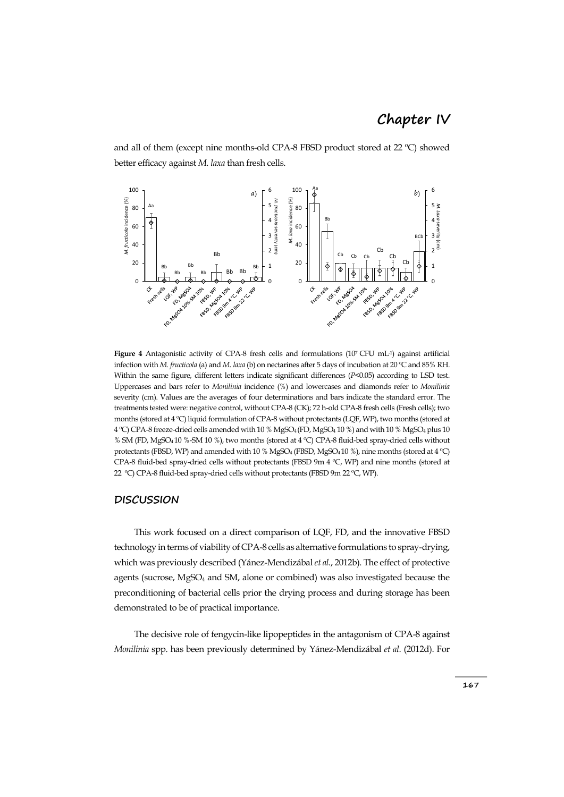and all of them (except nine months-old CPA-8 FBSD product stored at 22 ºC) showed better efficacy against *M. laxa* than fresh cells.

![](_page_13_Figure_2.jpeg)

**Figure** 4 Antagonistic activity of CPA-8 fresh cells and formulations (10<sup>7</sup> CFU mL<sup>-1</sup>) against artificial infection with *M. fructicola* (a) and *M. laxa* (b) on nectarines after 5 days of incubation at 20 ºC and 85% RH. Within the same figure, different letters indicate significant differences (*P*<0.05) according to LSD test. Uppercases and bars refer to *Monilinia* incidence (%) and lowercases and diamonds refer to *Monilinia* severity (cm). Values are the averages of four determinations and bars indicate the standard error. The treatments tested were: negative control, without CPA-8 (CK); 72 h-old CPA-8 fresh cells (Fresh cells); two months (stored at 4 ºC) liquid formulation of CPA-8 without protectants (LQF, WP), two months (stored at 4 ºC) CPA-8 freeze-dried cells amended with 10 % MgSO4 (FD, MgSO<sup>4</sup> 10 %) and with 10 % MgSO<sup>4</sup> plus 10 % SM (FD, MgSO4 10 %-SM 10 %), two months (stored at 4 ºC) CPA-8 fluid-bed spray-dried cells without protectants (FBSD, WP) and amended with 10 % MgSO<sub>4</sub> (FBSD, MgSO<sub>4</sub>10 %), nine months (stored at 4 °C) CPA-8 fluid-bed spray-dried cells without protectants (FBSD 9m 4 ºC, WP) and nine months (stored at 22 ºC) CPA-8 fluid-bed spray-dried cells without protectants (FBSD 9m 22 ºC, WP).

#### **DISCUSSION**

This work focused on a direct comparison of LQF, FD, and the innovative FBSD technology in terms of viability of CPA-8 cells as alternative formulations to spray-drying, which was previously described (Yánez-Mendizábal*et al.*, 2012b). The effect of protective agents (sucrose, MgSO<sub>4</sub> and SM, alone or combined) was also investigated because the preconditioning of bacterial cells prior the drying process and during storage has been demonstrated to be of practical importance.

The decisive role of fengycin-like lipopeptides in the antagonism of CPA-8 against *Monilinia* spp. has been previously determined by Yánez-Mendizábal *et al*. (2012d). For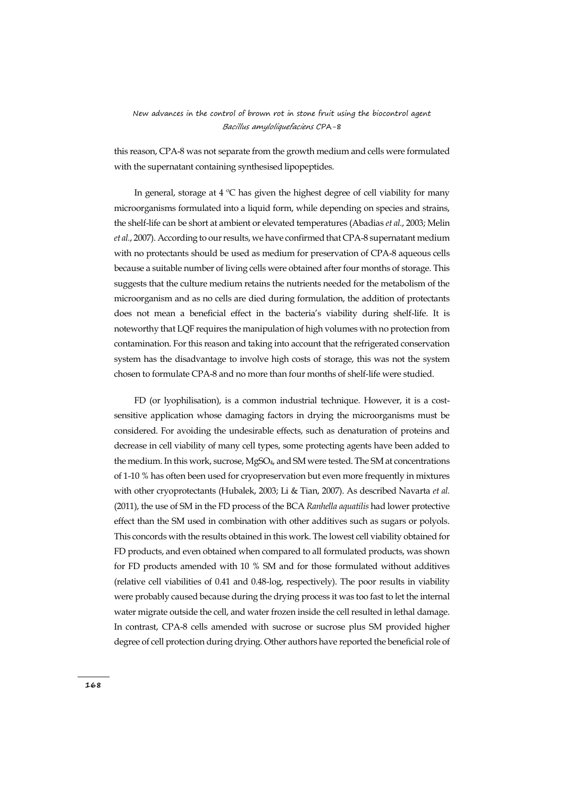this reason, CPA-8 was not separate from the growth medium and cells were formulated with the supernatant containing synthesised lipopeptides.

In general, storage at  $4 \,^{\circ}\text{C}$  has given the highest degree of cell viability for many microorganisms formulated into a liquid form, while depending on species and strains, the shelf-life can be short at ambient or elevated temperatures (Abadias *et al.*, 2003; Melin *et al.*, 2007). According to our results, we have confirmed that CPA-8 supernatant medium with no protectants should be used as medium for preservation of CPA-8 aqueous cells because a suitable number of living cells were obtained after four months of storage. This suggests that the culture medium retains the nutrients needed for the metabolism of the microorganism and as no cells are died during formulation, the addition of protectants does not mean a beneficial effect in the bacteria's viability during shelf-life. It is noteworthy that LQF requires the manipulation of high volumes with no protection from contamination. For this reason and taking into account that the refrigerated conservation system has the disadvantage to involve high costs of storage, this was not the system chosen to formulate CPA-8 and no more than four months of shelf-life were studied.

FD (or lyophilisation), is a common industrial technique. However, it is a costsensitive application whose damaging factors in drying the microorganisms must be considered. For avoiding the undesirable effects, such as denaturation of proteins and decrease in cell viability of many cell types, some protecting agents have been added to the medium. In this work, sucrose, MgSO<sub>4</sub>, and SM were tested. The SM at concentrations of 1-10 % has often been used for cryopreservation but even more frequently in mixtures with other cryoprotectants (Hubalek, 2003; Li & Tian, 2007). As described Navarta *et al.* (2011), the use of SM in the FD process of the BCA *Ranhella aquatilis* had lower protective effect than the SM used in combination with other additives such as sugars or polyols. This concords with the results obtained in this work. The lowest cell viability obtained for FD products, and even obtained when compared to all formulated products, was shown for FD products amended with 10 % SM and for those formulated without additives (relative cell viabilities of 0.41 and 0.48-log, respectively). The poor results in viability were probably caused because during the drying process it was too fast to let the internal water migrate outside the cell, and water frozen inside the cell resulted in lethal damage. In contrast, CPA-8 cells amended with sucrose or sucrose plus SM provided higher degree of cell protection during drying. Other authors have reported the beneficial role of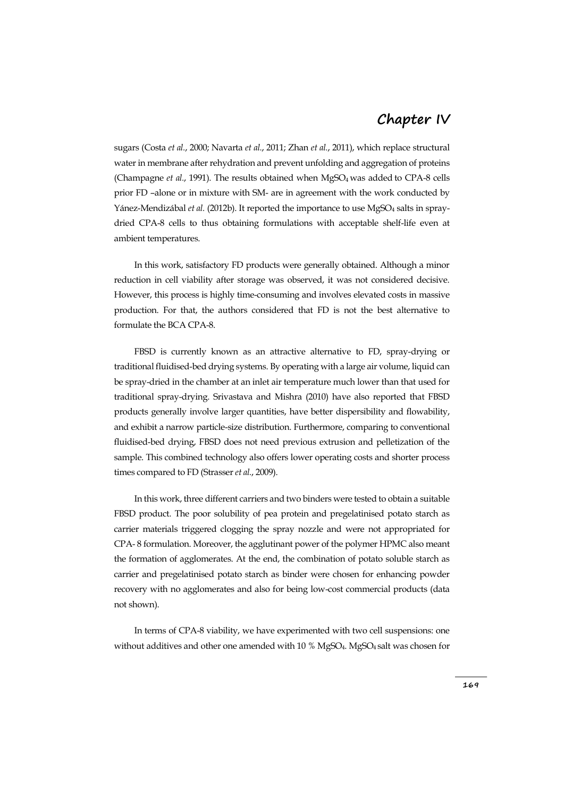sugars (Costa *et al.*, 2000; Navarta *et al.*, 2011; Zhan *et al.*, 2011), which replace structural water in membrane after rehydration and prevent unfolding and aggregation of proteins (Champagne *et al.*, 1991). The results obtained when MgSO4 was added to CPA-8 cells prior FD –alone or in mixture with SM- are in agreement with the work conducted by Yánez-Mendizábal *et al.* (2012b). It reported the importance to use MgSO<sub>4</sub> salts in spraydried CPA-8 cells to thus obtaining formulations with acceptable shelf-life even at ambient temperatures.

In this work, satisfactory FD products were generally obtained. Although a minor reduction in cell viability after storage was observed, it was not considered decisive. However, this process is highly time-consuming and involves elevated costs in massive production. For that, the authors considered that FD is not the best alternative to formulate the BCA CPA-8.

FBSD is currently known as an attractive alternative to FD, spray-drying or traditional fluidised-bed drying systems. By operating with a large air volume, liquid can be spray-dried in the chamber at an inlet air temperature much lower than that used for traditional spray-drying. Srivastava and Mishra (2010) have also reported that FBSD products generally involve larger quantities, have better dispersibility and flowability, and exhibit a narrow particle-size distribution. Furthermore, comparing to conventional fluidised-bed drying, FBSD does not need previous extrusion and pelletization of the sample. This combined technology also offers lower operating costs and shorter process times compared to FD (Strasser *et al.*, 2009).

In this work, three different carriers and two binders were tested to obtain a suitable FBSD product. The poor solubility of pea protein and pregelatinised potato starch as carrier materials triggered clogging the spray nozzle and were not appropriated for CPA- 8 formulation. Moreover, the agglutinant power of the polymer HPMC also meant the formation of agglomerates. At the end, the combination of potato soluble starch as carrier and pregelatinised potato starch as binder were chosen for enhancing powder recovery with no agglomerates and also for being low-cost commercial products (data not shown).

In terms of CPA-8 viability, we have experimented with two cell suspensions: one without additives and other one amended with 10 % MgSO<sub>4</sub>. MgSO<sub>4</sub> salt was chosen for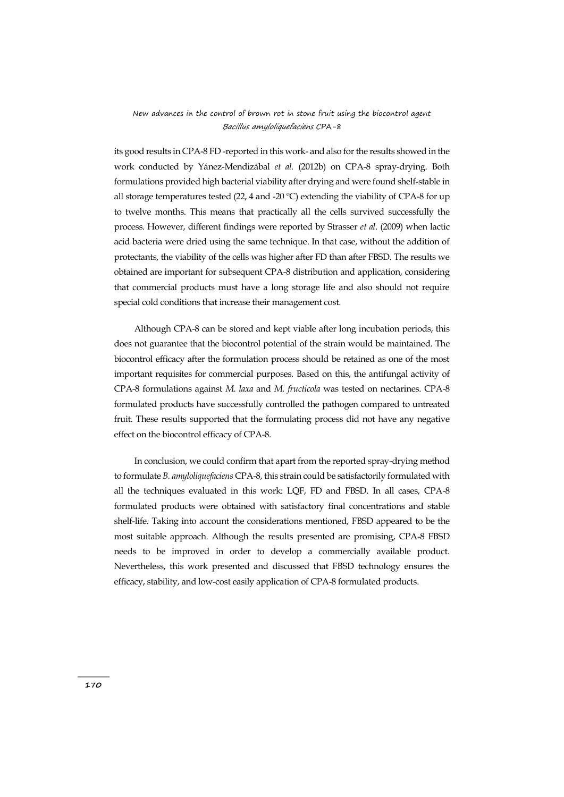its good results in CPA-8 FD -reported in this work- and also for the results showed in the work conducted by Yánez-Mendizábal *et al.* (2012b) on CPA-8 spray-drying. Both formulations provided high bacterial viability after drying and were found shelf-stable in all storage temperatures tested (22, 4 and -20  $^{\circ}$ C) extending the viability of CPA-8 for up to twelve months. This means that practically all the cells survived successfully the process. However, different findings were reported by Strasser *et al*. (2009) when lactic acid bacteria were dried using the same technique. In that case, without the addition of protectants, the viability of the cells was higher after FD than after FBSD. The results we obtained are important for subsequent CPA-8 distribution and application, considering that commercial products must have a long storage life and also should not require special cold conditions that increase their management cost.

Although CPA-8 can be stored and kept viable after long incubation periods, this does not guarantee that the biocontrol potential of the strain would be maintained. The biocontrol efficacy after the formulation process should be retained as one of the most important requisites for commercial purposes. Based on this, the antifungal activity of CPA-8 formulations against *M. laxa* and *M. fructicola* was tested on nectarines. CPA-8 formulated products have successfully controlled the pathogen compared to untreated fruit. These results supported that the formulating process did not have any negative effect on the biocontrol efficacy of CPA-8.

In conclusion, we could confirm that apart from the reported spray-drying method to formulate *B. amyloliquefaciens* CPA-8, this strain could be satisfactorily formulated with all the techniques evaluated in this work: LQF, FD and FBSD. In all cases, CPA-8 formulated products were obtained with satisfactory final concentrations and stable shelf-life. Taking into account the considerations mentioned, FBSD appeared to be the most suitable approach. Although the results presented are promising, CPA-8 FBSD needs to be improved in order to develop a commercially available product. Nevertheless, this work presented and discussed that FBSD technology ensures the efficacy, stability, and low-cost easily application of CPA-8 formulated products.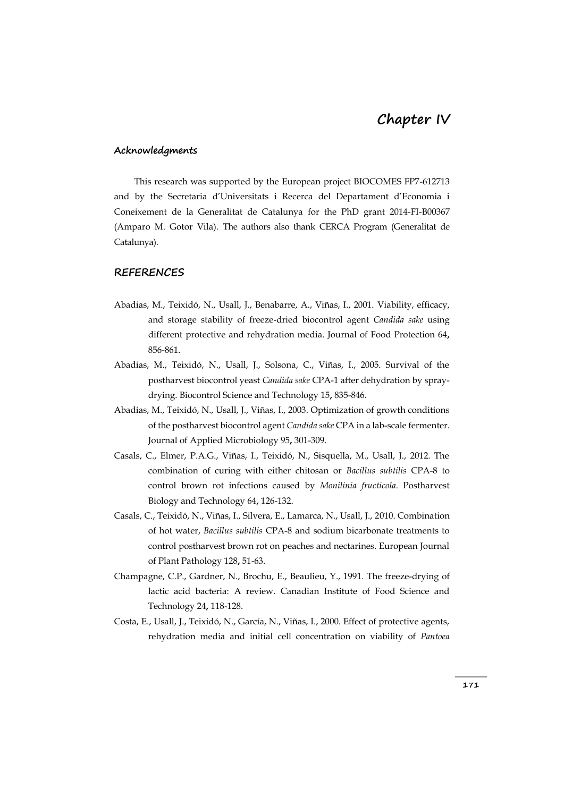### **Acknowledgments**

This research was supported by the European project BIOCOMES FP7-612713 and by the Secretaria d'Universitats i Recerca del Departament d'Economia i Coneixement de la Generalitat de Catalunya for the PhD grant 2014-FI-B00367 (Amparo M. Gotor Vila). The authors also thank CERCA Program (Generalitat de Catalunya).

### **REFERENCES**

- Abadias, M., Teixidó, N., Usall, J., Benabarre, A., Viñas, I., 2001. Viability, efficacy, and storage stability of freeze-dried biocontrol agent *Candida sake* using different protective and rehydration media. Journal of Food Protection 64**,** 856-861.
- Abadias, M., Teixidó, N., Usall, J., Solsona, C., Viñas, I., 2005. Survival of the postharvest biocontrol yeast *Candida sake* CPA-1 after dehydration by spraydrying. Biocontrol Science and Technology 15**,** 835-846.
- Abadias, M., Teixidó, N., Usall, J., Viñas, I., 2003. Optimization of growth conditions of the postharvest biocontrol agent *Candida sake* CPA in a lab-scale fermenter. Journal of Applied Microbiology 95**,** 301-309.
- Casals, C., Elmer, P.A.G., Viñas, I., Teixidó, N., Sisquella, M., Usall, J., 2012. The combination of curing with either chitosan or *Bacillus subtilis* CPA-8 to control brown rot infections caused by *Monilinia fructicola*. Postharvest Biology and Technology 64**,** 126-132.
- Casals, C., Teixidó, N., Viñas, I., Silvera, E., Lamarca, N., Usall, J., 2010. Combination of hot water, *Bacillus subtilis* CPA-8 and sodium bicarbonate treatments to control postharvest brown rot on peaches and nectarines. European Journal of Plant Pathology 128**,** 51-63.
- Champagne, C.P., Gardner, N., Brochu, E., Beaulieu, Y., 1991. The freeze-drying of lactic acid bacteria: A review. Canadian Institute of Food Science and Technology 24**,** 118-128.
- Costa, E., Usall, J., Teixidó, N., García, N., Viñas, I., 2000. Effect of protective agents, rehydration media and initial cell concentration on viability of *Pantoea*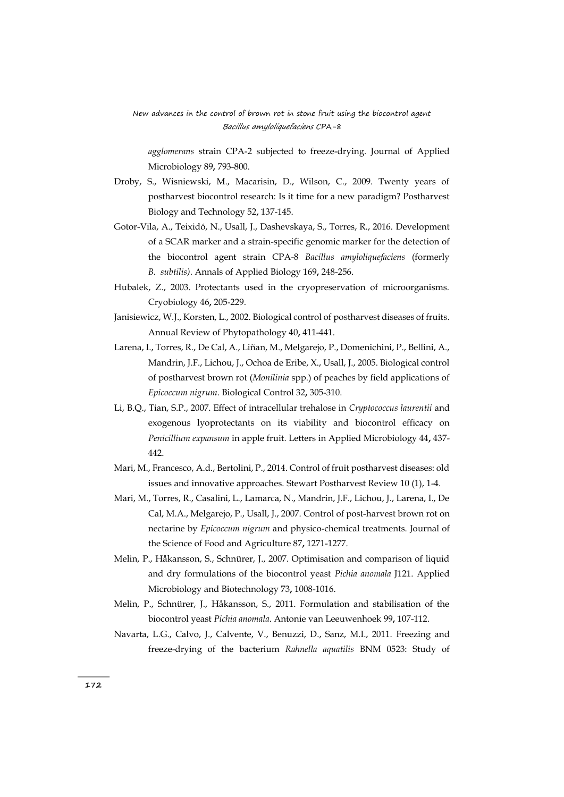*agglomerans* strain CPA-2 subjected to freeze-drying. Journal of Applied Microbiology 89**,** 793-800.

- Droby, S., Wisniewski, M., Macarisin, D., Wilson, C., 2009. Twenty years of postharvest biocontrol research: Is it time for a new paradigm? Postharvest Biology and Technology 52**,** 137-145.
- Gotor-Vila, A., Teixidó, N., Usall, J., Dashevskaya, S., Torres, R., 2016. Development of a SCAR marker and a strain-specific genomic marker for the detection of the biocontrol agent strain CPA-8 *Bacillus amyloliquefaciens* (formerly *B. subtilis)*. Annals of Applied Biology 169**,** 248-256.
- Hubalek, Z., 2003. Protectants used in the cryopreservation of microorganisms. Cryobiology 46**,** 205-229.
- Janisiewicz, W.J., Korsten, L., 2002. Biological control of postharvest diseases of fruits. Annual Review of Phytopathology 40**,** 411-441.
- Larena, I., Torres, R., De Cal, A., Liñan, M., Melgarejo, P., Domenichini, P., Bellini, A., Mandrin, J.F., Lichou, J., Ochoa de Eribe, X., Usall, J., 2005. Biological control of postharvest brown rot (*Monilinia* spp.) of peaches by field applications of *Epicoccum nigrum*. Biological Control 32**,** 305-310.
- Li, B.Q., Tian, S.P., 2007. Effect of intracellular trehalose in *Cryptococcus laurentii* and exogenous lyoprotectants on its viability and biocontrol efficacy on *Penicillium expansum* in apple fruit. Letters in Applied Microbiology 44**,** 437- 442.
- Mari, M., Francesco, A.d., Bertolini, P., 2014. Control of fruit postharvest diseases: old issues and innovative approaches. Stewart Postharvest Review 10 (1), 1-4.
- Mari, M., Torres, R., Casalini, L., Lamarca, N., Mandrin, J.F., Lichou, J., Larena, I., De Cal, M.A., Melgarejo, P., Usall, J., 2007. Control of post-harvest brown rot on nectarine by *Epicoccum nigrum* and physico-chemical treatments. Journal of the Science of Food and Agriculture 87**,** 1271-1277.
- Melin, P., Håkansson, S., Schnürer, J., 2007. Optimisation and comparison of liquid and dry formulations of the biocontrol yeast *Pichia anomala* J121. Applied Microbiology and Biotechnology 73**,** 1008-1016.
- Melin, P., Schnürer, J., Håkansson, S., 2011. Formulation and stabilisation of the biocontrol yeast *Pichia anomala*. Antonie van Leeuwenhoek 99**,** 107-112.
- Navarta, L.G., Calvo, J., Calvente, V., Benuzzi, D., Sanz, M.I., 2011. Freezing and freeze-drying of the bacterium *Rahnella aquatilis* BNM 0523: Study of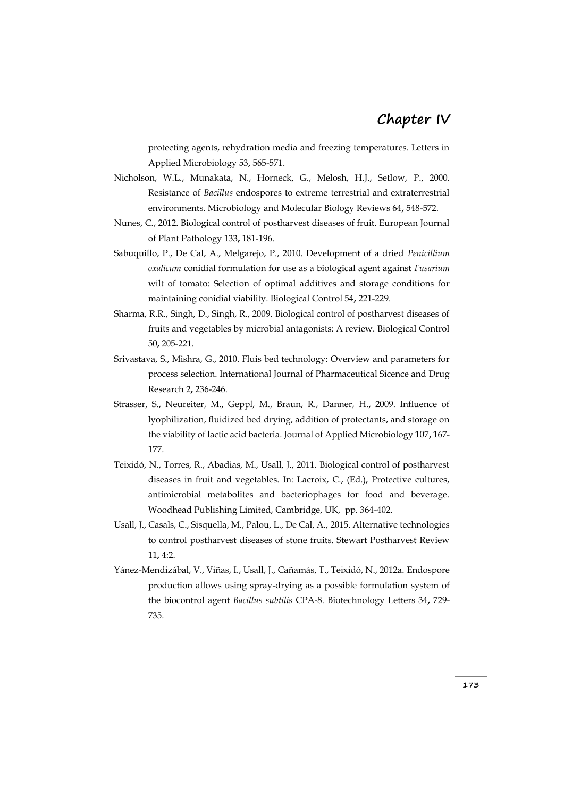protecting agents, rehydration media and freezing temperatures. Letters in Applied Microbiology 53**,** 565-571.

- Nicholson, W.L., Munakata, N., Horneck, G., Melosh, H.J., Setlow, P., 2000. Resistance of *Bacillus* endospores to extreme terrestrial and extraterrestrial environments. Microbiology and Molecular Biology Reviews 64**,** 548-572.
- Nunes, C., 2012. Biological control of postharvest diseases of fruit. European Journal of Plant Pathology 133**,** 181-196.
- Sabuquillo, P., De Cal, A., Melgarejo, P., 2010. Development of a dried *Penicillium oxalicum* conidial formulation for use as a biological agent against *Fusarium* wilt of tomato: Selection of optimal additives and storage conditions for maintaining conidial viability. Biological Control 54**,** 221-229.
- Sharma, R.R., Singh, D., Singh, R., 2009. Biological control of postharvest diseases of fruits and vegetables by microbial antagonists: A review. Biological Control 50**,** 205-221.
- Srivastava, S., Mishra, G., 2010. Fluis bed technology: Overview and parameters for process selection. International Journal of Pharmaceutical Sicence and Drug Research 2**,** 236-246.
- Strasser, S., Neureiter, M., Geppl, M., Braun, R., Danner, H., 2009. Influence of lyophilization, fluidized bed drying, addition of protectants, and storage on the viability of lactic acid bacteria. Journal of Applied Microbiology 107**,** 167- 177.
- Teixidó, N., Torres, R., Abadias, M., Usall, J., 2011. Biological control of postharvest diseases in fruit and vegetables. In: Lacroix, C., (Ed.), Protective cultures, antimicrobial metabolites and bacteriophages for food and beverage. Woodhead Publishing Limited, Cambridge, UK, pp. 364-402.
- Usall, J., Casals, C., Sisquella, M., Palou, L., De Cal, A., 2015. Alternative technologies to control postharvest diseases of stone fruits. Stewart Postharvest Review 11**,** 4:2.
- Yánez-Mendizábal, V., Viñas, I., Usall, J., Cañamás, T., Teixidó, N., 2012a. Endospore production allows using spray-drying as a possible formulation system of the biocontrol agent *Bacillus subtilis* CPA-8. Biotechnology Letters 34**,** 729- 735.